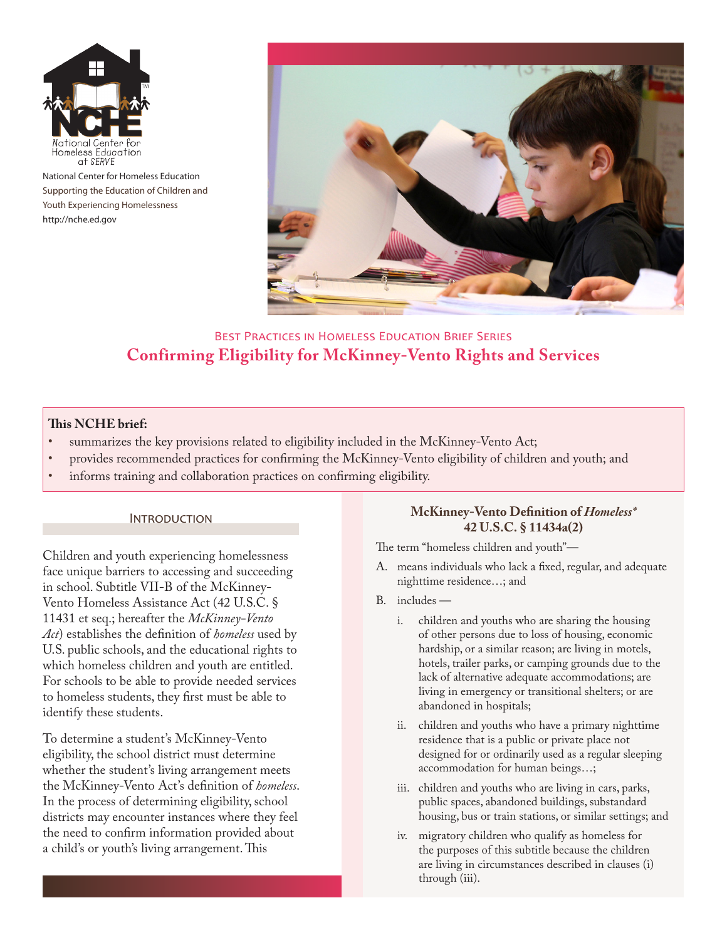

National Center for Homeless Education Supporting the Education of Children and Youth Experiencing Homelessness <http://nche.ed.gov>



# Best Practices in Homeless Education Brief Series **Confirming Eligibility for McKinney-Vento Rights and Services**

## **This NCHE brief:**

- summarizes the key provisions related to eligibility included in the McKinney-Vento Act;
- provides recommended practices for confirming the McKinney-Vento eligibility of children and youth; and
- informs training and collaboration practices on confirming eligibility.

#### **INTRODUCTION**

Children and youth experiencing homelessness face unique barriers to accessing and succeeding in school. Subtitle VII-B of the McKinney-Vento Homeless Assistance Act (42 U.S.C. § 11431 et seq.; hereafter the *McKinney-Vento Act*) establishes the definition of *homeless* used by U.S. public schools, and the educational rights to which homeless children and youth are entitled. For schools to be able to provide needed services to homeless students, they first must be able to identify these students.

To determine a student's McKinney-Vento eligibility, the school district must determine whether the student's living arrangement meets the McKinney-Vento Act's definition of *homeless*. In the process of determining eligibility, school districts may encounter instances where they feel the need to confirm information provided about a child's or youth's living arrangement. This

### **McKinney-Vento Definition of** *Homeless\** **42 U.S.C. § 11434a(2)**

The term "homeless children and youth"—

- A. means individuals who lack a fixed, regular, and adequate nighttime residence…; and
- B. includes
	- i. children and youths who are sharing the housing of other persons due to loss of housing, economic hardship, or a similar reason; are living in motels, hotels, trailer parks, or camping grounds due to the lack of alternative adequate accommodations; are living in emergency or transitional shelters; or are abandoned in hospitals;
	- ii. children and youths who have a primary nighttime residence that is a public or private place not designed for or ordinarily used as a regular sleeping accommodation for human beings…;
	- iii. children and youths who are living in cars, parks, public spaces, abandoned buildings, substandard housing, bus or train stations, or similar settings; and
	- iv. migratory children who qualify as homeless for the purposes of this subtitle because the children are living in circumstances described in clauses (i) through (iii).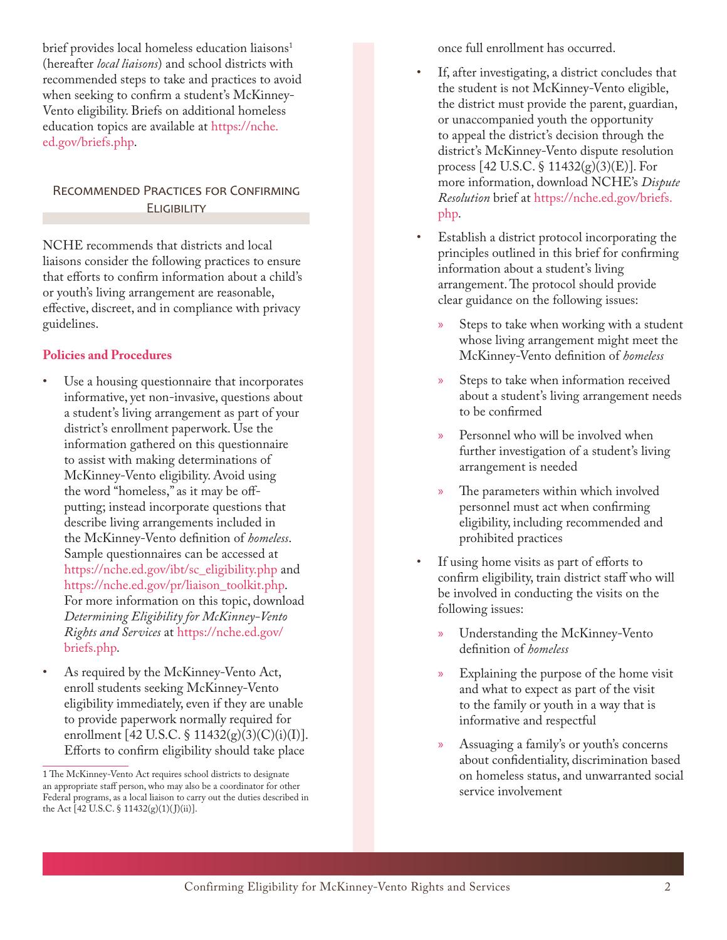brief provides local homeless education liaisons<sup>1</sup> (hereafter *local liaisons*) and school districts with recommended steps to take and practices to avoid when seeking to confirm a student's McKinney-Vento eligibility. Briefs on additional homeless education topics are available at [https://nche.](https://nche.ed.gov/briefs.php) [ed.gov/briefs.php.](https://nche.ed.gov/briefs.php)

### Recommended Practices for Confirming **ELIGIBILITY**

NCHE recommends that districts and local liaisons consider the following practices to ensure that efforts to confirm information about a child's or youth's living arrangement are reasonable, effective, discreet, and in compliance with privacy guidelines.

## **Policies and Procedures**

- Use a housing questionnaire that incorporates informative, yet non-invasive, questions about a student's living arrangement as part of your district's enrollment paperwork. Use the information gathered on this questionnaire to assist with making determinations of McKinney-Vento eligibility. Avoid using the word "homeless," as it may be offputting; instead incorporate questions that describe living arrangements included in the McKinney-Vento definition of *homeless*. Sample questionnaires can be accessed at [https://nche.ed.gov/ibt/sc\\_eligibility.php](https://nche.ed.gov/ibt/sc_eligibility.php) and [https://nche.ed.gov/pr/liaison\\_toolkit.php.](https://nche.ed.gov/pr/liaison_toolkit.php) For more information on this topic, download *Determining Eligibility for McKinney-Vento Rights and Services* at [https://nche.ed.gov/](https://nche.ed.gov/briefs.php) [briefs.php](https://nche.ed.gov/briefs.php).
- As required by the McKinney-Vento Act, enroll students seeking McKinney-Vento eligibility immediately, even if they are unable to provide paperwork normally required for enrollment [42 U.S.C. § 11432(g)(3)(C)(i)(I)]. Efforts to confirm eligibility should take place

once full enrollment has occurred.

- If, after investigating, a district concludes that the student is not McKinney-Vento eligible, the district must provide the parent, guardian, or unaccompanied youth the opportunity to appeal the district's decision through the district's McKinney-Vento dispute resolution process [42 U.S.C. § 11432(g)(3)(E)]. For more information, download NCHE's *Dispute Resolution* brief at [https://nche.ed.gov/briefs.](https://nche.ed.gov/briefs.php) [php.](https://nche.ed.gov/briefs.php)
- Establish a district protocol incorporating the principles outlined in this brief for confirming information about a student's living arrangement. The protocol should provide clear guidance on the following issues:
	- **EXECUTE:** Steps to take when working with a student whose living arrangement might meet the McKinney-Vento definition of *homeless*
	- x Steps to take when information received about a student's living arrangement needs to be confirmed
	- Personnel who will be involved when further investigation of a student's living arrangement is needed
	- » The parameters within which involved personnel must act when confirming eligibility, including recommended and prohibited practices
- If using home visits as part of efforts to confirm eligibility, train district staff who will be involved in conducting the visits on the following issues:
	- x Understanding the McKinney-Vento definition of *homeless*
	- Explaining the purpose of the home visit and what to expect as part of the visit to the family or youth in a way that is informative and respectful
	- x Assuaging a family's or youth's concerns about confidentiality, discrimination based on homeless status, and unwarranted social service involvement

<sup>1</sup> The McKinney-Vento Act requires school districts to designate an appropriate staff person, who may also be a coordinator for other Federal programs, as a local liaison to carry out the duties described in the Act  $[42 \text{ U.S.C. } $11432(g)(1)(\text{J})(ii)].$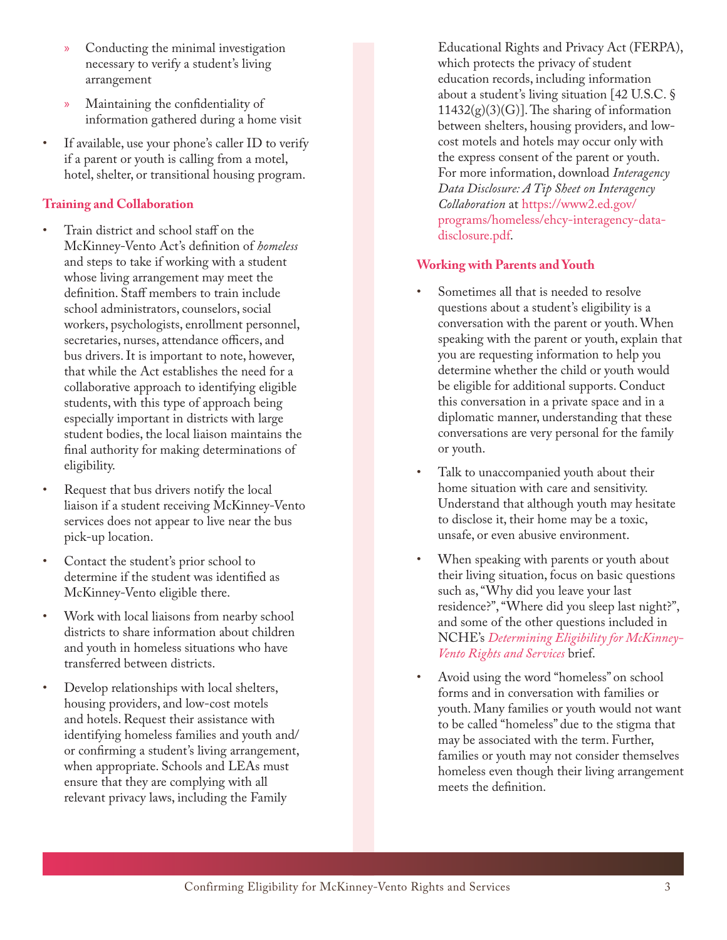- Conducting the minimal investigation necessary to verify a student's living arrangement
- x Maintaining the confidentiality of information gathered during a home visit
- If available, use your phone's caller ID to verify if a parent or youth is calling from a motel, hotel, shelter, or transitional housing program.

# **Training and Collaboration**

- Train district and school staff on the McKinney-Vento Act's definition of *homeless* and steps to take if working with a student whose living arrangement may meet the definition. Staff members to train include school administrators, counselors, social workers, psychologists, enrollment personnel, secretaries, nurses, attendance officers, and bus drivers. It is important to note, however, that while the Act establishes the need for a collaborative approach to identifying eligible students, with this type of approach being especially important in districts with large student bodies, the local liaison maintains the final authority for making determinations of eligibility.
- Request that bus drivers notify the local liaison if a student receiving McKinney-Vento services does not appear to live near the bus pick-up location.
- Contact the student's prior school to determine if the student was identified as McKinney-Vento eligible there.
- Work with local liaisons from nearby school districts to share information about children and youth in homeless situations who have transferred between districts.
- Develop relationships with local shelters, housing providers, and low-cost motels and hotels. Request their assistance with identifying homeless families and youth and/ or confirming a student's living arrangement, when appropriate. Schools and LEAs must ensure that they are complying with all relevant privacy laws, including the Family

Educational Rights and Privacy Act (FERPA), which protects the privacy of student education records, including information about a student's living situation [42 U.S.C. § 11432(g)(3)(G)]. The sharing of information between shelters, housing providers, and lowcost motels and hotels may occur only with the express consent of the parent or youth. For more information, download *Interagency Data Disclosure: A Tip Sheet on Interagency Collaboration* at [https://www2.ed.gov/](https://www2.ed.gov/programs/homeless/ehcy-interagency-data-disclosure.pdf) [programs/homeless/ehcy-interagency-data](https://www2.ed.gov/programs/homeless/ehcy-interagency-data-disclosure.pdf)[disclosure.pdf.](https://www2.ed.gov/programs/homeless/ehcy-interagency-data-disclosure.pdf)

# **Working with Parents and Youth**

- Sometimes all that is needed to resolve questions about a student's eligibility is a conversation with the parent or youth. When speaking with the parent or youth, explain that you are requesting information to help you determine whether the child or youth would be eligible for additional supports. Conduct this conversation in a private space and in a diplomatic manner, understanding that these conversations are very personal for the family or youth.
- Talk to unaccompanied youth about their home situation with care and sensitivity. Understand that although youth may hesitate to disclose it, their home may be a toxic, unsafe, or even abusive environment.
- When speaking with parents or youth about their living situation, focus on basic questions such as, "Why did you leave your last residence?", "Where did you sleep last night?", and some of the other questions included in NCHE's *[Determining Eligibility for McKinney-](https://nche.ed.gov/downloads/briefs/det_elig.pdf)[Vento Rights and Services](https://nche.ed.gov/downloads/briefs/det_elig.pdf)* brief.
- Avoid using the word "homeless" on school forms and in conversation with families or youth. Many families or youth would not want to be called "homeless" due to the stigma that may be associated with the term. Further, families or youth may not consider themselves homeless even though their living arrangement meets the definition.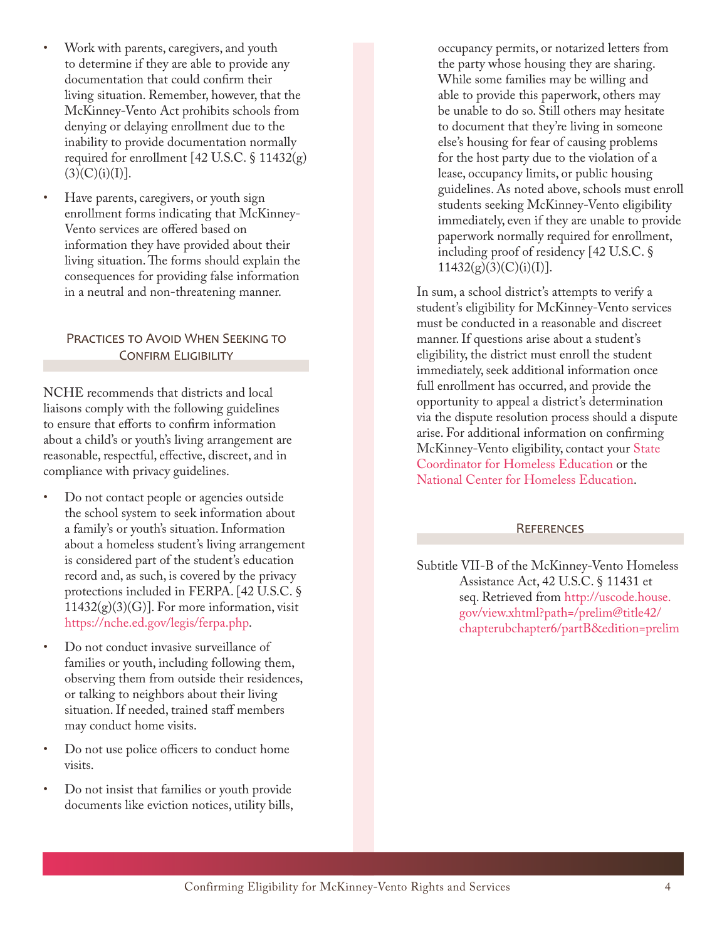- Work with parents, caregivers, and youth to determine if they are able to provide any documentation that could confirm their living situation. Remember, however, that the McKinney-Vento Act prohibits schools from denying or delaying enrollment due to the inability to provide documentation normally required for enrollment [42 U.S.C.  $\S$  11432(g)  $(3)(C)(i)(I)$ ].
- Have parents, caregivers, or youth sign enrollment forms indicating that McKinney-Vento services are offered based on information they have provided about their living situation. The forms should explain the consequences for providing false information in a neutral and non-threatening manner.

## PRACTICES TO AVOID WHEN SEEKING TO CONFIRM ELIGIBILITY

NCHE recommends that districts and local liaisons comply with the following guidelines to ensure that efforts to confirm information about a child's or youth's living arrangement are reasonable, respectful, effective, discreet, and in compliance with privacy guidelines.

- Do not contact people or agencies outside the school system to seek information about a family's or youth's situation. Information about a homeless student's living arrangement is considered part of the student's education record and, as such, is covered by the privacy protections included in FERPA. [42 U.S.C. §  $11432(g)(3)(G)$ . For more information, visit [https://nche.ed.gov/legis/ferpa.php.](https://nche.ed.gov/legis/ferpa.php)
- Do not conduct invasive surveillance of families or youth, including following them, observing them from outside their residences, or talking to neighbors about their living situation. If needed, trained staff members may conduct home visits.
- Do not use police officers to conduct home visits.
- Do not insist that families or youth provide documents like eviction notices, utility bills,

occupancy permits, or notarized letters from the party whose housing they are sharing. While some families may be willing and able to provide this paperwork, others may be unable to do so. Still others may hesitate to document that they're living in someone else's housing for fear of causing problems for the host party due to the violation of a lease, occupancy limits, or public housing guidelines. As noted above, schools must enroll students seeking McKinney-Vento eligibility immediately, even if they are unable to provide paperwork normally required for enrollment, including proof of residency [42 U.S.C. §  $11432(g)(3)(C)(i)(I)].$ 

In sum, a school district's attempts to verify a student's eligibility for McKinney-Vento services must be conducted in a reasonable and discreet manner. If questions arise about a student's eligibility, the district must enroll the student immediately, seek additional information once full enrollment has occurred, and provide the opportunity to appeal a district's determination via the dispute resolution process should a dispute arise. For additional information on confirming McKinney-Vento eligibility, contact your [State](https://nche.ed.gov/states/state_resources.php)  [Coordinator for Homeless Education](https://nche.ed.gov/states/state_resources.php) or the [National Center for Homeless Education.](https://nche.ed.gov/)

# **REFERENCES**

Subtitle VII-B of the McKinney-Vento Homeless Assistance Act, 42 U.S.C. § 11431 et seq. Retrieved from [http://uscode.house.](http://uscode.house.gov/view.xhtml?path=/prelim@title42/chapterubchapter6/partB&edition=prelim) [gov/view.xhtml?path=/prelim@title42/](http://uscode.house.gov/view.xhtml?path=/prelim@title42/chapterubchapter6/partB&edition=prelim) [chapterubchapter6/partB&edition=prelim](http://uscode.house.gov/view.xhtml?path=/prelim@title42/chapterubchapter6/partB&edition=prelim)